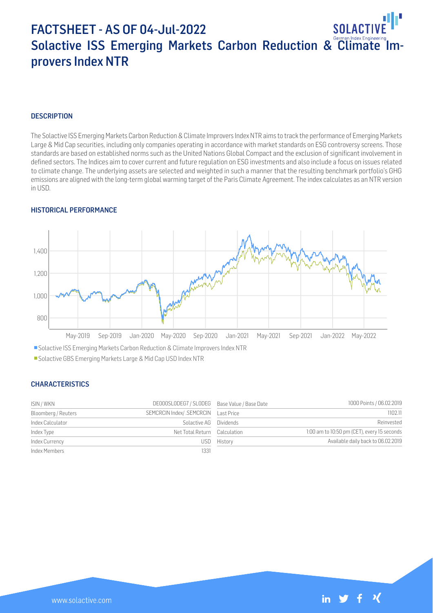# FACTSHEET - AS OF 04-Jul-2022 SOI ACT Solactive ISS Emerging Markets Carbon Reduction & Climate Improvers Index NTR

### **DESCRIPTION**

The Solactive ISS Emerging Markets Carbon Reduction & Climate Improvers Index NTR aims to track the performance of Emerging Markets Large & Mid Cap securities, including only companies operating in accordance with market standards on ESG controversy screens. Those standards are based on established norms such as the United Nations Global Compact and the exclusion of significant involvement in defined sectors. The Indices aim to cover current and future regulation on ESG investments and also include a focus on issues related to climate change. The underlying assets are selected and weighted in such a manner that the resulting benchmark portfolio's GHG emissions are aligned with the long-term global warming target of the Paris Climate Agreement. The index calculates as an NTR version in USD.

#### HISTORICAL PERFORMANCE



Solactive ISS Emerging Markets Carbon Reduction & Climate Improvers Index NTR

Solactive GBS Emerging Markets Large & Mid Cap USD Index NTR

#### CHARACTERISTICS

| ISIN / WKN          | DE000SLODEG7 / SLODEG Base Value / Base Date |         | 1000 Points / 06.02.2019                    |
|---------------------|----------------------------------------------|---------|---------------------------------------------|
| Bloomberg / Reuters | SEMCRCIN Index/ .SEMCRCIN Last Price         |         | 1102.11                                     |
| Index Calculator    | Solactive AG Dividends                       |         | Reinvested                                  |
| Index Type          | Net Total Return Calculation                 |         | 1:00 am to 10:50 pm (CET), every 15 seconds |
| Index Currency      | USD.                                         | History | Available daily back to 06.02.2019          |
| Index Members       | 1331                                         |         |                                             |

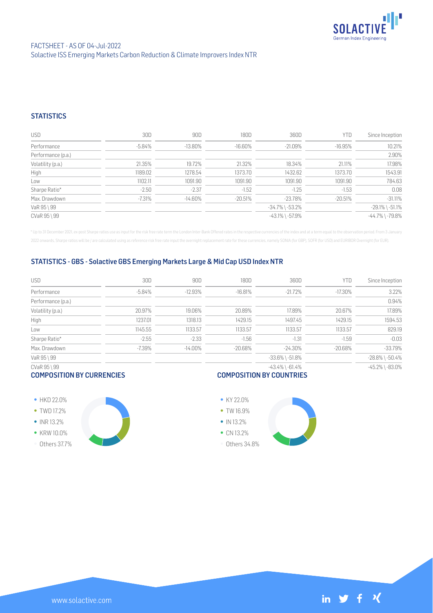

## **STATISTICS**

| <b>USD</b>         | 30D       | 90D        | 180D       | 360D                  | YTD     | Since Inception       |
|--------------------|-----------|------------|------------|-----------------------|---------|-----------------------|
| Performance        | $-5.84\%$ | $-13.80\%$ | $-16.60\%$ | $-21.09\%$            | -16.95% | 10.21%                |
| Performance (p.a.) |           |            |            |                       |         | 2.90%                 |
| Volatility (p.a.)  | 21.35%    | 19.72%     | 21.32%     | 18.34%                | 21.11%  | 17.98%                |
| High               | 1189.02   | 1278.54    | 1373.70    | 1432.62               | 1373.70 | 1543.91               |
| Low                | 1102.11   | 1091.90    | 1091.90    | 1091.90               | 1091.90 | 784.63                |
| Sharpe Ratio*      | $-2.50$   | $-2.37$    | $-1.52$    | $-1.25$               | $-1.53$ | 0.08                  |
| Max. Drawdown      | $-7.31%$  | $-14.60\%$ | $-20.51%$  | $-23.78%$             | -20.51% | $-31.11%$             |
| VaR 95 \ 99        |           |            |            | $-34.7\%$ \ $-53.2\%$ |         | $-29.1\%$ \ $-51.1\%$ |
| CVaR 95 \ 99       |           |            |            | $-43.1\%$ \ $-57.9\%$ |         | $-44.7\%$ \ $-79.8\%$ |

\* Up to 31 December 2021, ex-post Sharpe ratios use as input for the risk free rate term the London Inter-Bank Offered rates in the respective currencies of the index and at a term equal to the observation period. From 3 J 2022 onwards, Sharpe ratios will be / are calculated using as reference risk free rate input the overnight replacement rate for these currencies, namely SONIA (for GBP), SOFR (for USD) and EURIBOR Overnight (for EUR).

## STATISTICS - GBS - Solactive GBS Emerging Markets Large & Mid Cap USD Index NTR

| USD                | 30D      | 90D        | 180D       | 360D                  | YTD        | Since Inception       |
|--------------------|----------|------------|------------|-----------------------|------------|-----------------------|
| Performance        | $-5.84%$ | $-12.93%$  | $-16.81%$  | $-21.72%$             | $-17.30\%$ | 3.22%                 |
| Performance (p.a.) |          |            |            |                       |            | 0.94%                 |
| Volatility (p.a.)  | 20.97%   | 19.06%     | 20.89%     | 17.89%                | 20.67%     | 17.89%                |
| High               | 1237.01  | 1318.13    | 1429.15    | 1497.45               | 1429.15    | 1594.53               |
| Low                | 1145.55  | 1133.57    | 1133.57    | 1133.57               | 1133.57    | 829.19                |
| Sharpe Ratio*      | $-2.55$  | $-2.33$    | $-1.56$    | $-1.31$               | $-1.59$    | $-0.03$               |
| Max. Drawdown      | $-7.39%$ | $-14.00\%$ | $-20.68\%$ | -24.30%               | -20.68%    | $-33.79%$             |
| VaR 95 \ 99        |          |            |            | $-33.6\%$ \ $-51.8\%$ |            | $-28.8\%$ \ $-50.4\%$ |
| CVaR 95 \ 99       |          |            |            | $-43.4\%$ \ $-61.4\%$ |            | $-45.2\%$ \ $-83.0\%$ |

#### COMPOSITION BY CURRENCIES

# COMPOSITION BY COUNTRIES

- HKD 22.0% • TWD 17.2%
- $\bullet$  INR 13.2%
- KRW 10.0%
- Others 37.7%





Others 34.8%

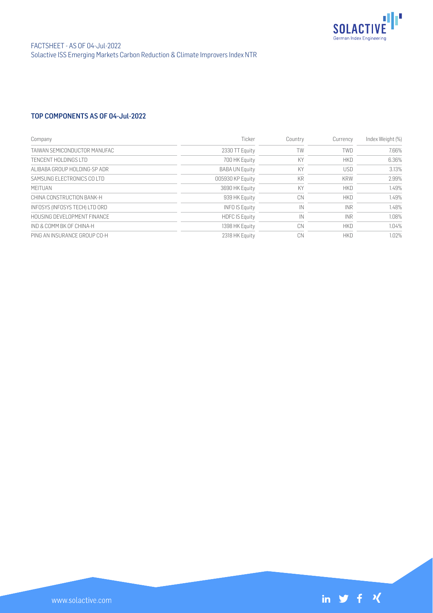

# TOP COMPONENTS AS OF 04-Jul-2022

| Company                        | Ticker                | Country   | Currency   | Index Weight (%) |
|--------------------------------|-----------------------|-----------|------------|------------------|
| TAIWAN SEMICONDUCTOR MANUFAC   | 2330 TT Equity        | TW        | <b>TWD</b> | 7.66%            |
| TENCENT HOLDINGS LTD           | 700 HK Equity         | KY        | <b>HKD</b> | 6.36%            |
| ALIBABA GROUP HOLDING-SP ADR   | <b>BABA UN Equity</b> | KY        | <b>USD</b> | 3.13%            |
| SAMSUNG FLECTRONICS COLTD      | 005930 KP Equity      | <b>KR</b> | <b>KRW</b> | 2.99%            |
| <b>MFITUAN</b>                 | 3690 HK Equity        | KY        | <b>HKD</b> | 1.49%            |
| CHINA CONSTRUCTION BANK-H      | 939 HK Equity         | CN        | <b>HKD</b> | 1.49%            |
| INFOSYS (INFOSYS TECH) LTD ORD | <b>INFO IS Equity</b> | IN        | <b>INR</b> | 1.48%            |
| HOUSING DEVELOPMENT FINANCE    | <b>HDFC IS Equity</b> | IN        | <b>INR</b> | 1.08%            |
| IND & COMM BK OF CHINA-H       | 1398 HK Equity        | CN        | <b>HKD</b> | 1.04%            |
| PING AN INSURANCE GROUP CO-H   | 2318 HK Equity        | CN        | <b>HKD</b> | 1.02%            |